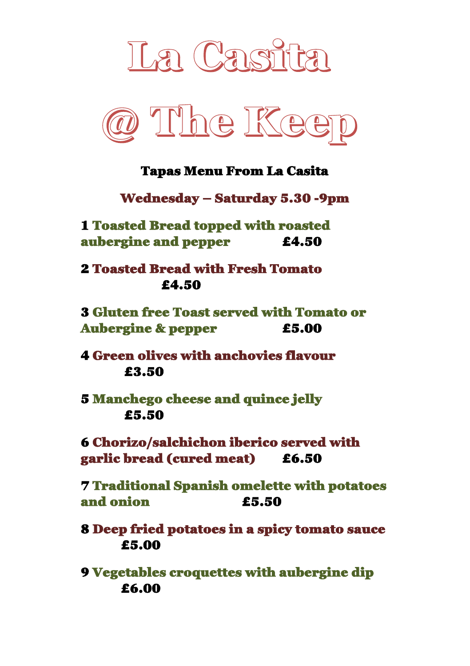



#### Tapas Menu From La Casita

Wednesday – Saturday 5.30 -9pm

1 Toasted Bread topped with roasted aubergine and pepper £4.50

2 Toasted Bread with Fresh Tomato £4.50

3 Gluten free Toast served with Tomato or Aubergine & pepper f5.00

4 Green olives with anchovies flavour £3.50

5 Manchego cheese and quince jelly £5.50

6 Chorizo/salchichon iberico served with garlic bread (cured meat) £6.50

7 Traditional Spanish omelette with potatoes and onion £5.50

8 Deep fried potatoes in a spicy tomato sauce £5.00

9 Vegetables croquettes with aubergine dip £6.00